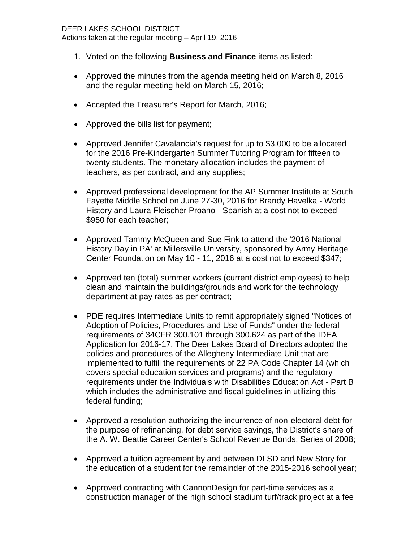- 1. Voted on the following **Business and Finance** items as listed:
- Approved the minutes from the agenda meeting held on March 8, 2016 and the regular meeting held on March 15, 2016;
- Accepted the Treasurer's Report for March, 2016;
- Approved the bills list for payment;
- Approved Jennifer Cavalancia's request for up to \$3,000 to be allocated for the 2016 Pre-Kindergarten Summer Tutoring Program for fifteen to twenty students. The monetary allocation includes the payment of teachers, as per contract, and any supplies;
- Approved professional development for the AP Summer Institute at South Fayette Middle School on June 27-30, 2016 for Brandy Havelka - World History and Laura Fleischer Proano - Spanish at a cost not to exceed \$950 for each teacher;
- Approved Tammy McQueen and Sue Fink to attend the '2016 National History Day in PA' at Millersville University, sponsored by Army Heritage Center Foundation on May 10 - 11, 2016 at a cost not to exceed \$347;
- Approved ten (total) summer workers (current district employees) to help clean and maintain the buildings/grounds and work for the technology department at pay rates as per contract;
- PDE requires Intermediate Units to remit appropriately signed "Notices of Adoption of Policies, Procedures and Use of Funds" under the federal requirements of 34CFR 300.101 through 300.624 as part of the IDEA Application for 2016-17. The Deer Lakes Board of Directors adopted the policies and procedures of the Allegheny Intermediate Unit that are implemented to fulfill the requirements of 22 PA Code Chapter 14 (which covers special education services and programs) and the regulatory requirements under the Individuals with Disabilities Education Act - Part B which includes the administrative and fiscal guidelines in utilizing this federal funding;
- Approved a resolution authorizing the incurrence of non-electoral debt for the purpose of refinancing, for debt service savings, the District's share of the A. W. Beattie Career Center's School Revenue Bonds, Series of 2008;
- Approved a tuition agreement by and between DLSD and New Story for the education of a student for the remainder of the 2015-2016 school year;
- Approved contracting with CannonDesign for part-time services as a construction manager of the high school stadium turf/track project at a fee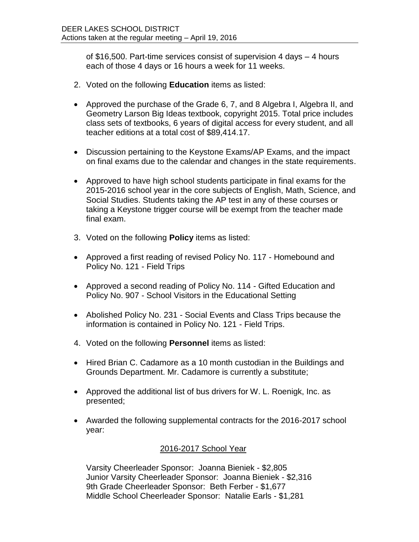of \$16,500. Part-time services consist of supervision 4 days – 4 hours each of those 4 days or 16 hours a week for 11 weeks.

- 2. Voted on the following **Education** items as listed:
- Approved the purchase of the Grade 6, 7, and 8 Algebra I, Algebra II, and Geometry Larson Big Ideas textbook, copyright 2015. Total price includes class sets of textbooks, 6 years of digital access for every student, and all teacher editions at a total cost of \$89,414.17.
- Discussion pertaining to the Keystone Exams/AP Exams, and the impact on final exams due to the calendar and changes in the state requirements.
- Approved to have high school students participate in final exams for the 2015-2016 school year in the core subjects of English, Math, Science, and Social Studies. Students taking the AP test in any of these courses or taking a Keystone trigger course will be exempt from the teacher made final exam.
- 3. Voted on the following **Policy** items as listed:
- Approved a first reading of revised Policy No. 117 Homebound and Policy No. 121 - Field Trips
- Approved a second reading of Policy No. 114 Gifted Education and Policy No. 907 - School Visitors in the Educational Setting
- Abolished Policy No. 231 Social Events and Class Trips because the information is contained in Policy No. 121 - Field Trips.
- 4. Voted on the following **Personnel** items as listed:
- Hired Brian C. Cadamore as a 10 month custodian in the Buildings and Grounds Department. Mr. Cadamore is currently a substitute;
- Approved the additional list of bus drivers for W. L. Roenigk, Inc. as presented;
- Awarded the following supplemental contracts for the 2016-2017 school year:

## 2016-2017 School Year

Varsity Cheerleader Sponsor: Joanna Bieniek - \$2,805 Junior Varsity Cheerleader Sponsor: Joanna Bieniek - \$2,316 9th Grade Cheerleader Sponsor: Beth Ferber - \$1,677 Middle School Cheerleader Sponsor: Natalie Earls - \$1,281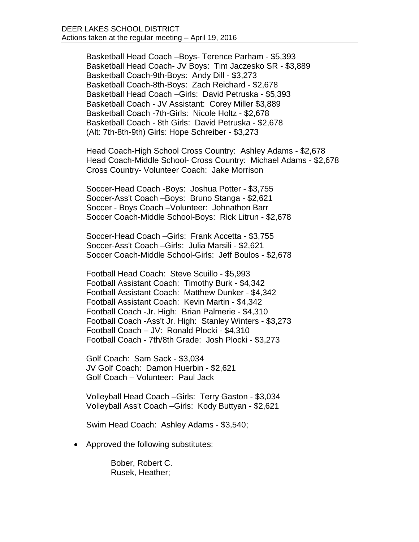Basketball Head Coach –Boys- Terence Parham - \$5,393 Basketball Head Coach- JV Boys: Tim Jaczesko SR - \$3,889 Basketball Coach-9th-Boys: Andy Dill - \$3,273 Basketball Coach-8th-Boys: Zach Reichard - \$2,678 Basketball Head Coach –Girls: David Petruska - \$5,393 Basketball Coach - JV Assistant: Corey Miller \$3,889 Basketball Coach -7th-Girls: Nicole Holtz - \$2,678 Basketball Coach - 8th Girls: David Petruska - \$2,678 (Alt: 7th-8th-9th) Girls: Hope Schreiber - \$3,273

Head Coach-High School Cross Country: Ashley Adams - \$2,678 Head Coach-Middle School- Cross Country: Michael Adams - \$2,678 Cross Country- Volunteer Coach: Jake Morrison

Soccer-Head Coach -Boys: Joshua Potter - \$3,755 Soccer-Ass't Coach –Boys: Bruno Stanga - \$2,621 Soccer - Boys Coach –Volunteer: Johnathon Barr Soccer Coach-Middle School-Boys: Rick Litrun - \$2,678

Soccer-Head Coach –Girls: Frank Accetta - \$3,755 Soccer-Ass't Coach –Girls: Julia Marsili - \$2,621 Soccer Coach-Middle School-Girls: Jeff Boulos - \$2,678

Football Head Coach: Steve Scuillo - \$5,993 Football Assistant Coach: Timothy Burk - \$4,342 Football Assistant Coach: Matthew Dunker - \$4,342 Football Assistant Coach: Kevin Martin - \$4,342 Football Coach -Jr. High: Brian Palmerie - \$4,310 Football Coach -Ass't Jr. High: Stanley Winters - \$3,273 Football Coach – JV: Ronald Plocki - \$4,310 Football Coach - 7th/8th Grade: Josh Plocki - \$3,273

Golf Coach: Sam Sack - \$3,034 JV Golf Coach: Damon Huerbin - \$2,621 Golf Coach – Volunteer: Paul Jack

Volleyball Head Coach –Girls: Terry Gaston - \$3,034 Volleyball Ass't Coach –Girls: Kody Buttyan - \$2,621

Swim Head Coach: Ashley Adams - \$3,540;

• Approved the following substitutes:

Bober, Robert C. Rusek, Heather;